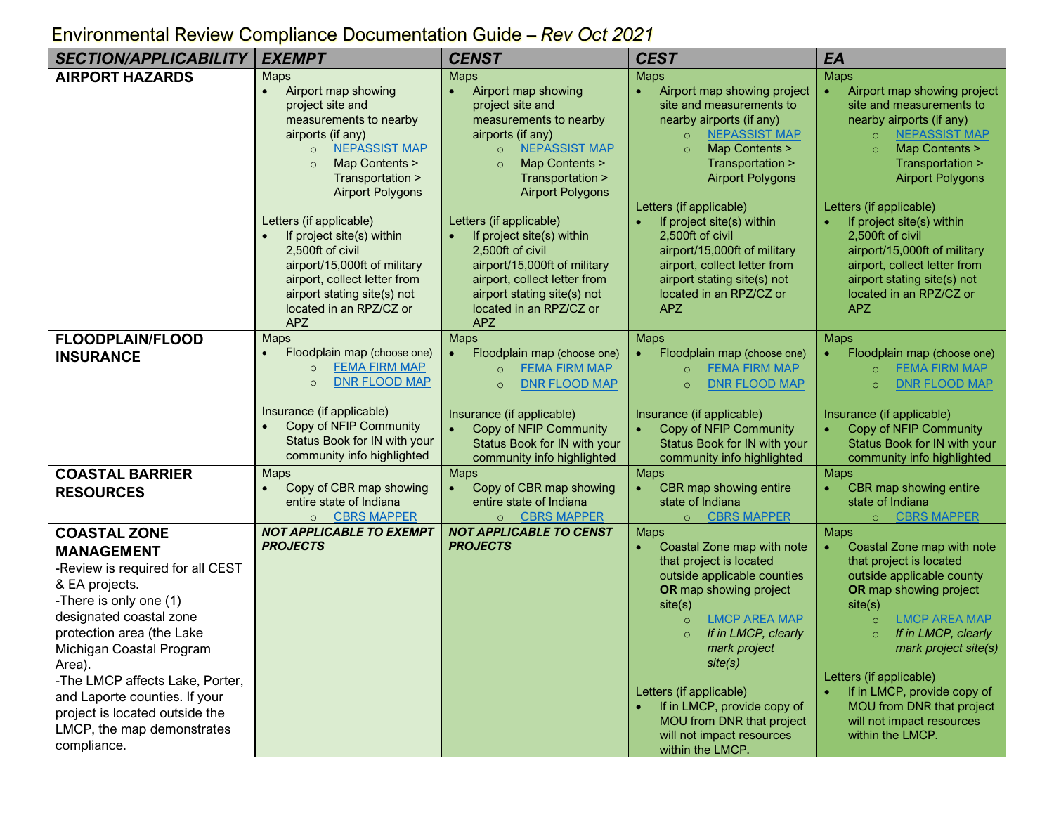## *SECTION/APPLICABILITY EXEMPT CENST CEST EA* **AIRPORT HAZARDS** Maps • Airport map showing project site and measurements to nearby airports (if any) o **[NEPASSIST MAP](https://nepassisttool.epa.gov/nepassist/nepamap.aspx)** Map Contents > Transportation > Airport Polygons Letters (if applicable) If project site(s) within 2,500ft of civil airport/15,000ft of military airport, collect letter from airport stating site(s) not located in an RPZ/CZ or APZ Maps • Airport map showing project site and measurements to nearby airports (if any) o [NEPASSIST MAP](https://nepassisttool.epa.gov/nepassist/nepamap.aspx) Map Contents > Transportation > Airport Polygons Letters (if applicable) If project site(s) within 2,500ft of civil airport/15,000ft of military airport, collect letter from airport stating site(s) not located in an RPZ/CZ or APZ **Maps** • Airport map showing project site and measurements to nearby airports (if any) o [NEPASSIST MAP](https://nepassisttool.epa.gov/nepassist/nepamap.aspx) o Map Contents > Transportation > Airport Polygons Letters (if applicable) • If project site(s) within 2,500ft of civil airport/15,000ft of military airport, collect letter from airport stating site(s) not located in an RPZ/CZ or APZ Maps • Airport map showing project site and measurements to nearby airports (if any) o [NEPASSIST MAP](https://nepassisttool.epa.gov/nepassist/nepamap.aspx) Map Contents > Transportation > Airport Polygons Letters (if applicable) If project site(s) within 2,500ft of civil airport/15,000ft of military airport, collect letter from airport stating site(s) not located in an RPZ/CZ or APZ **FLOODPLAIN/FLOOD INSURANCE** Maps • Floodplain map (choose one) o [FEMA FIRM MAP](https://msc.fema.gov/portal/home) o [DNR FLOOD MAP](https://dnrmaps.dnr.in.gov/appsphp/fdms/) Insurance (if applicable) • Copy of NFIP Community Status Book for IN with your community info highlighted Maps • Floodplain map (choose one) o [FEMA FIRM MAP](https://msc.fema.gov/portal/home) o [DNR FLOOD MAP](https://dnrmaps.dnr.in.gov/appsphp/fdms/) Insurance (if applicable) • Copy of NFIP Community Status Book for IN with your community info highlighted Maps • Floodplain map (choose one) o [FEMA FIRM MAP](https://msc.fema.gov/portal/home) o [DNR FLOOD MAP](https://dnrmaps.dnr.in.gov/appsphp/fdms/) Insurance (if applicable) • Copy of NFIP Community Status Book for IN with your community info highlighted Maps • Floodplain map (choose one) o [FEMA FIRM MAP](https://msc.fema.gov/portal/home) o [DNR FLOOD MAP](https://dnrmaps.dnr.in.gov/appsphp/fdms/) Insurance (if applicable) • Copy of NFIP Community Status Book for IN with your community info highlighted **COASTAL BARRIER RESOURCES** Maps • Copy of CBR map showing entire state of Indiana o [CBRS MAPPER](https://www.fws.gov/cbra/maps/mapper.html) Maps • Copy of CBR map showing entire state of Indiana o [CBRS MAPPER](https://www.fws.gov/cbra/maps/mapper.html) Maps • CBR map showing entire state of Indiana o [CBRS MAPPER](https://www.fws.gov/cbra/maps/mapper.html) Maps • CBR map showing entire state of Indiana o [CBRS MAPPER](https://www.fws.gov/cbra/maps/mapper.html) **COASTAL ZONE MANAGEMENT** -Review is required for all CEST & EA projects. -There is only one (1) designated coastal zone protection area (the Lake Michigan Coastal Program Area). -The LMCP affects Lake, Porter, and Laporte counties. If your project is located outside the LMCP, the map demonstrates compliance. *NOT APPLICABLE TO EXEMPT PROJECTS NOT APPLICABLE TO CENST PROJECTS* **Maps** • Coastal Zone map with note that project is located outside applicable counties **OR** map showing project site(s) o [LMCP AREA MAP](https://www.in.gov/dnr/lake-michigan-coastal-program/files/lm-boundary_and_watershed.pdf) o *If in LMCP, clearly mark project site(s)* Letters (if applicable) If in LMCP, provide copy of MOU from DNR that project will not impact resources within the LMCP. **Maps** • Coastal Zone map with note that project is located outside applicable county **OR** map showing project site(s) o **[LMCP AREA MAP](https://www.in.gov/dnr/lake-michigan-coastal-program/files/lm-boundary_and_watershed.pdf)**<br>o **If in LMCP**, clearly **If in LMCP, clearly** *mark project site(s)* Letters (if applicable) If in LMCP, provide copy of MOU from DNR that project will not impact resources within the LMCP.

## Environmental Review Compliance Documentation Guide – *Rev Oct 2021*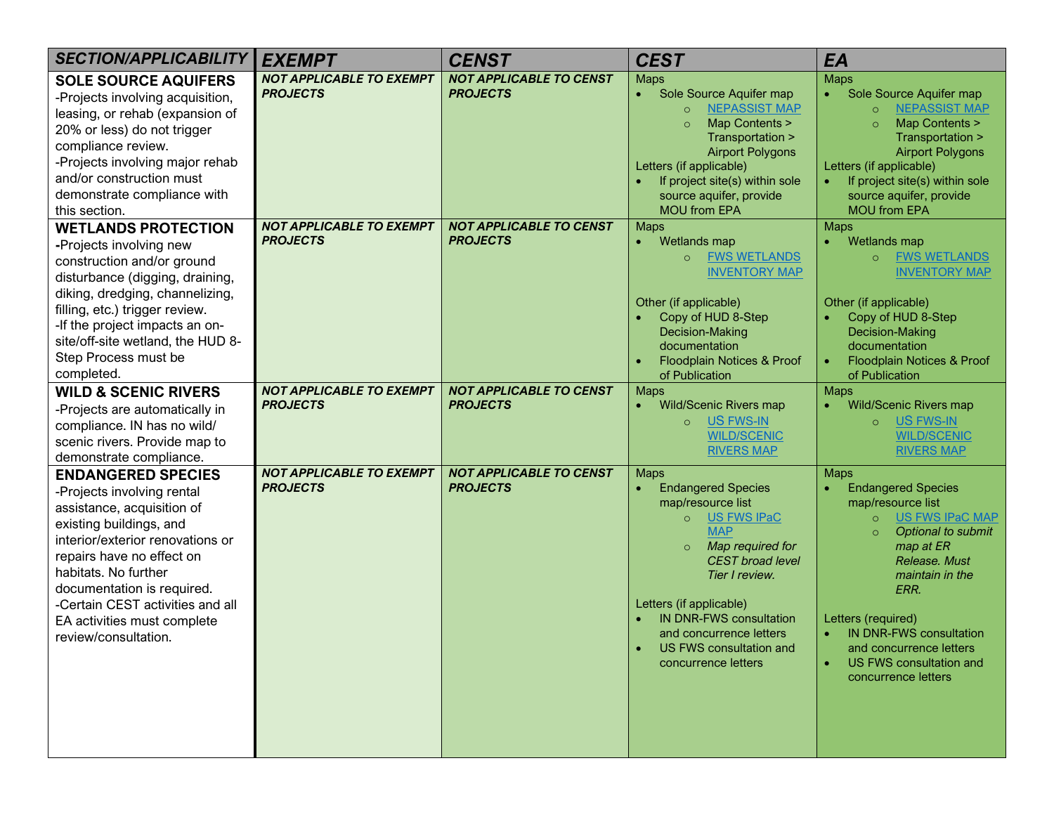| <b>SECTION/APPLICABILITY</b>                                                                                                                                                                                                                                                                                                       | <b>EXEMPT</b>                                      | <b>CENST</b>                                      | <b>CEST</b>                                                                                                                                                                                                                                                                                                                 | EA                                                                                                                                                                                                                                                                                                                                             |
|------------------------------------------------------------------------------------------------------------------------------------------------------------------------------------------------------------------------------------------------------------------------------------------------------------------------------------|----------------------------------------------------|---------------------------------------------------|-----------------------------------------------------------------------------------------------------------------------------------------------------------------------------------------------------------------------------------------------------------------------------------------------------------------------------|------------------------------------------------------------------------------------------------------------------------------------------------------------------------------------------------------------------------------------------------------------------------------------------------------------------------------------------------|
| <b>SOLE SOURCE AQUIFERS</b><br>-Projects involving acquisition,<br>leasing, or rehab (expansion of<br>20% or less) do not trigger<br>compliance review.<br>-Projects involving major rehab<br>and/or construction must<br>demonstrate compliance with<br>this section.                                                             | <b>NOT APPLICABLE TO EXEMPT</b><br><b>PROJECTS</b> | <b>NOT APPLICABLE TO CENST</b><br><b>PROJECTS</b> | <b>Maps</b><br>Sole Source Aquifer map<br><b>NEPASSIST MAP</b><br>$\circ$<br>Map Contents ><br>Transportation ><br><b>Airport Polygons</b><br>Letters (if applicable)<br>If project site(s) within sole<br>source aquifer, provide<br><b>MOU from EPA</b>                                                                   | <b>Maps</b><br>Sole Source Aquifer map<br><b>NEPASSIST MAP</b><br>$\circ$<br>Map Contents ><br>$\circ$<br>Transportation ><br><b>Airport Polygons</b><br>Letters (if applicable)<br>If project site(s) within sole<br>source aquifer, provide<br><b>MOU from EPA</b>                                                                           |
| <b>WETLANDS PROTECTION</b><br>-Projects involving new<br>construction and/or ground<br>disturbance (digging, draining,<br>diking, dredging, channelizing,<br>filling, etc.) trigger review.<br>-If the project impacts an on-<br>site/off-site wetland, the HUD 8-<br>Step Process must be<br>completed.                           | <b>NOT APPLICABLE TO EXEMPT</b><br><b>PROJECTS</b> | <b>NOT APPLICABLE TO CENST</b><br><b>PROJECTS</b> | <b>Maps</b><br>Wetlands map<br><b>FWS WETLANDS</b><br>$\circ$<br><b>INVENTORY MAP</b><br>Other (if applicable)<br>Copy of HUD 8-Step<br>Decision-Making<br>documentation<br>Floodplain Notices & Proof<br>of Publication                                                                                                    | <b>Maps</b><br>Wetlands map<br><b>FWS WETLANDS</b><br>$\circ$<br><b>INVENTORY MAP</b><br>Other (if applicable)<br>Copy of HUD 8-Step<br>Decision-Making<br>documentation<br>Floodplain Notices & Proof<br>of Publication                                                                                                                       |
| <b>WILD &amp; SCENIC RIVERS</b><br>-Projects are automatically in<br>compliance. IN has no wild/<br>scenic rivers. Provide map to<br>demonstrate compliance.                                                                                                                                                                       | <b>NOT APPLICABLE TO EXEMPT</b><br><b>PROJECTS</b> | <b>NOT APPLICABLE TO CENST</b><br><b>PROJECTS</b> | <b>Maps</b><br><b>Wild/Scenic Rivers map</b><br>US FWS-IN<br>$\circ$<br><b>WILD/SCENIC</b><br><b>RIVERS MAP</b>                                                                                                                                                                                                             | <b>Maps</b><br><b>Wild/Scenic Rivers map</b><br><b>US FWS-IN</b><br>$\circ$<br><b>WILD/SCENIC</b><br><b>RIVERS MAP</b>                                                                                                                                                                                                                         |
| <b>ENDANGERED SPECIES</b><br>-Projects involving rental<br>assistance, acquisition of<br>existing buildings, and<br>interior/exterior renovations or<br>repairs have no effect on<br>habitats. No further<br>documentation is required.<br>-Certain CEST activities and all<br>EA activities must complete<br>review/consultation. | <b>NOT APPLICABLE TO EXEMPT</b><br><b>PROJECTS</b> | <b>NOT APPLICABLE TO CENST</b><br><b>PROJECTS</b> | <b>Maps</b><br><b>Endangered Species</b><br>map/resource list<br>US FWS IPaC<br>$\circ$<br><b>MAP</b><br>Map required for<br>$\circ$<br><b>CEST</b> broad level<br>Tier I review.<br>Letters (if applicable)<br><b>IN DNR-FWS consultation</b><br>and concurrence letters<br>US FWS consultation and<br>concurrence letters | <b>Maps</b><br><b>Endangered Species</b><br>map/resource list<br><b>US FWS IPaC MAP</b><br>$\circ$<br>Optional to submit<br>$\circ$<br>map at ER<br>Release, Must<br>maintain in the<br>ERR.<br>Letters (required)<br><b>IN DNR-FWS consultation</b><br>$\bullet$<br>and concurrence letters<br>US FWS consultation and<br>concurrence letters |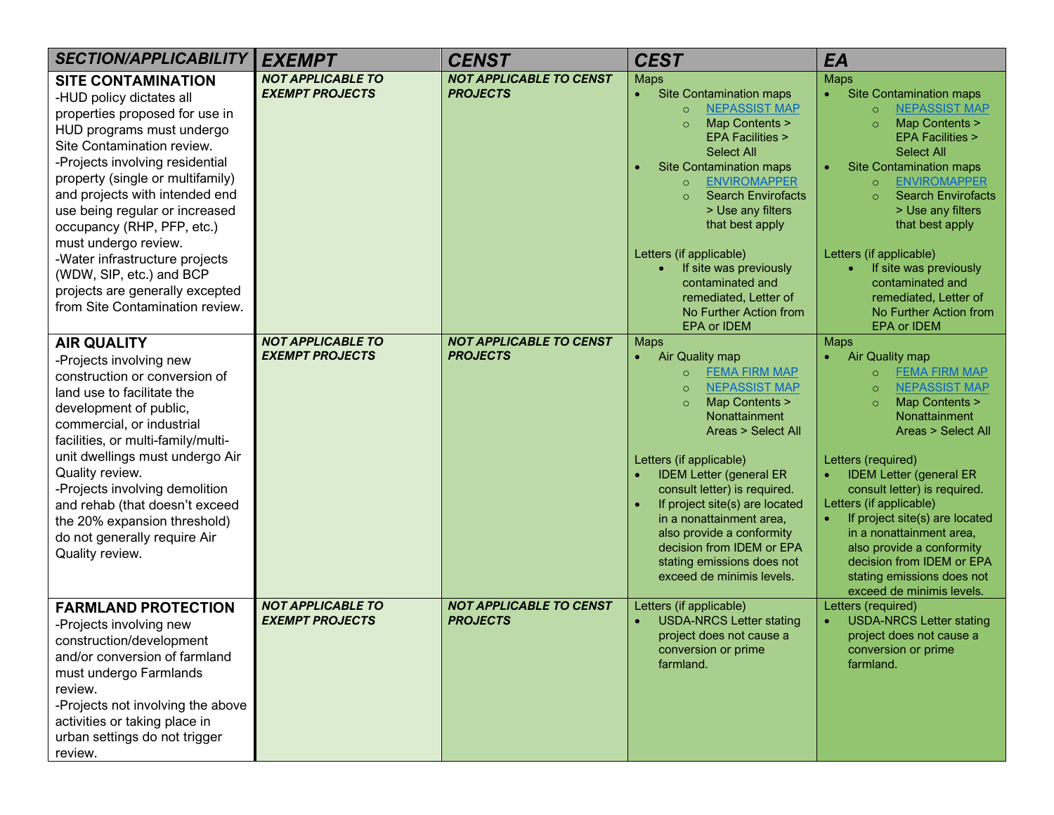| <b>SECTION/APPLICABILITY</b>                                                                                                                                                                                                                                                                                                                                                                                           | <b>EXEMPT</b>                                      | <b>CENST</b>                                      | <b>CEST</b>                                                                                                                                                                                                                                                                                                                                                                                                                                                           | EA                                                                                                                                                                                                                                                                                                                                                                                                                                                                                        |
|------------------------------------------------------------------------------------------------------------------------------------------------------------------------------------------------------------------------------------------------------------------------------------------------------------------------------------------------------------------------------------------------------------------------|----------------------------------------------------|---------------------------------------------------|-----------------------------------------------------------------------------------------------------------------------------------------------------------------------------------------------------------------------------------------------------------------------------------------------------------------------------------------------------------------------------------------------------------------------------------------------------------------------|-------------------------------------------------------------------------------------------------------------------------------------------------------------------------------------------------------------------------------------------------------------------------------------------------------------------------------------------------------------------------------------------------------------------------------------------------------------------------------------------|
| <b>SITE CONTAMINATION</b><br>-HUD policy dictates all<br>properties proposed for use in<br>HUD programs must undergo<br>Site Contamination review.<br>-Projects involving residential<br>property (single or multifamily)<br>and projects with intended end<br>use being regular or increased<br>occupancy (RHP, PFP, etc.)                                                                                            | <b>NOT APPLICABLE TO</b><br><b>EXEMPT PROJECTS</b> | <b>NOT APPLICABLE TO CENST</b><br><b>PROJECTS</b> | <b>Maps</b><br><b>Site Contamination maps</b><br><b>NEPASSIST MAP</b><br>$\circ$<br>Map Contents ><br><b>EPA Facilities &gt;</b><br><b>Select All</b><br><b>Site Contamination maps</b><br><b>ENVIROMAPPER</b><br>$\circ$<br><b>Search Envirofacts</b><br>> Use any filters<br>that best apply                                                                                                                                                                        | <b>Maps</b><br><b>Site Contamination maps</b><br><b>NEPASSIST MAP</b><br>$\circ$<br>Map Contents ><br>$\circ$<br><b>EPA Facilities &gt;</b><br><b>Select All</b><br><b>Site Contamination maps</b><br><b>ENVIROMAPPER</b><br>$\circ$<br><b>Search Envirofacts</b><br>$\Omega$<br>> Use any filters<br>that best apply                                                                                                                                                                     |
| must undergo review.<br>-Water infrastructure projects<br>(WDW, SIP, etc.) and BCP<br>projects are generally excepted<br>from Site Contamination review.                                                                                                                                                                                                                                                               |                                                    |                                                   | Letters (if applicable)<br>If site was previously<br>contaminated and<br>remediated, Letter of<br>No Further Action from<br>EPA or IDEM                                                                                                                                                                                                                                                                                                                               | Letters (if applicable)<br>If site was previously<br>contaminated and<br>remediated, Letter of<br>No Further Action from<br>EPA or IDEM                                                                                                                                                                                                                                                                                                                                                   |
| <b>AIR QUALITY</b><br>-Projects involving new<br>construction or conversion of<br>land use to facilitate the<br>development of public,<br>commercial, or industrial<br>facilities, or multi-family/multi-<br>unit dwellings must undergo Air<br>Quality review.<br>-Projects involving demolition<br>and rehab (that doesn't exceed<br>the 20% expansion threshold)<br>do not generally require Air<br>Quality review. | <b>NOT APPLICABLE TO</b><br><b>EXEMPT PROJECTS</b> | <b>NOT APPLICABLE TO CENST</b><br><b>PROJECTS</b> | <b>Maps</b><br>Air Quality map<br><b>FEMA FIRM MAP</b><br>$\circ$<br><b>NEPASSIST MAP</b><br>$\Omega$<br>Map Contents ><br>Nonattainment<br><b>Areas &gt; Select All</b><br>Letters (if applicable)<br><b>IDEM Letter (general ER</b><br>consult letter) is required.<br>If project site(s) are located<br>$\bullet$<br>in a nonattainment area,<br>also provide a conformity<br>decision from IDEM or EPA<br>stating emissions does not<br>exceed de minimis levels. | <b>Maps</b><br>Air Quality map<br><b>FEMA FIRM MAP</b><br>$\circ$<br><b>NEPASSIST MAP</b><br>$\circ$<br>Map Contents ><br>$\Omega$<br>Nonattainment<br><b>Areas &gt; Select All</b><br>Letters (required)<br><b>IDEM Letter (general ER</b><br>consult letter) is required.<br>Letters (if applicable)<br>If project site(s) are located<br>in a nonattainment area,<br>also provide a conformity<br>decision from IDEM or EPA<br>stating emissions does not<br>exceed de minimis levels. |
| <b>FARMLAND PROTECTION</b><br>-Projects involving new<br>construction/development<br>and/or conversion of farmland<br>must undergo Farmlands<br>review.<br>-Projects not involving the above<br>activities or taking place in<br>urban settings do not trigger<br>review.                                                                                                                                              | <b>NOT APPLICABLE TO</b><br><b>EXEMPT PROJECTS</b> | <b>NOT APPLICABLE TO CENST</b><br><b>PROJECTS</b> | Letters (if applicable)<br><b>USDA-NRCS Letter stating</b><br>project does not cause a<br>conversion or prime<br>farmland.                                                                                                                                                                                                                                                                                                                                            | Letters (required)<br><b>USDA-NRCS Letter stating</b><br>project does not cause a<br>conversion or prime<br>farmland.                                                                                                                                                                                                                                                                                                                                                                     |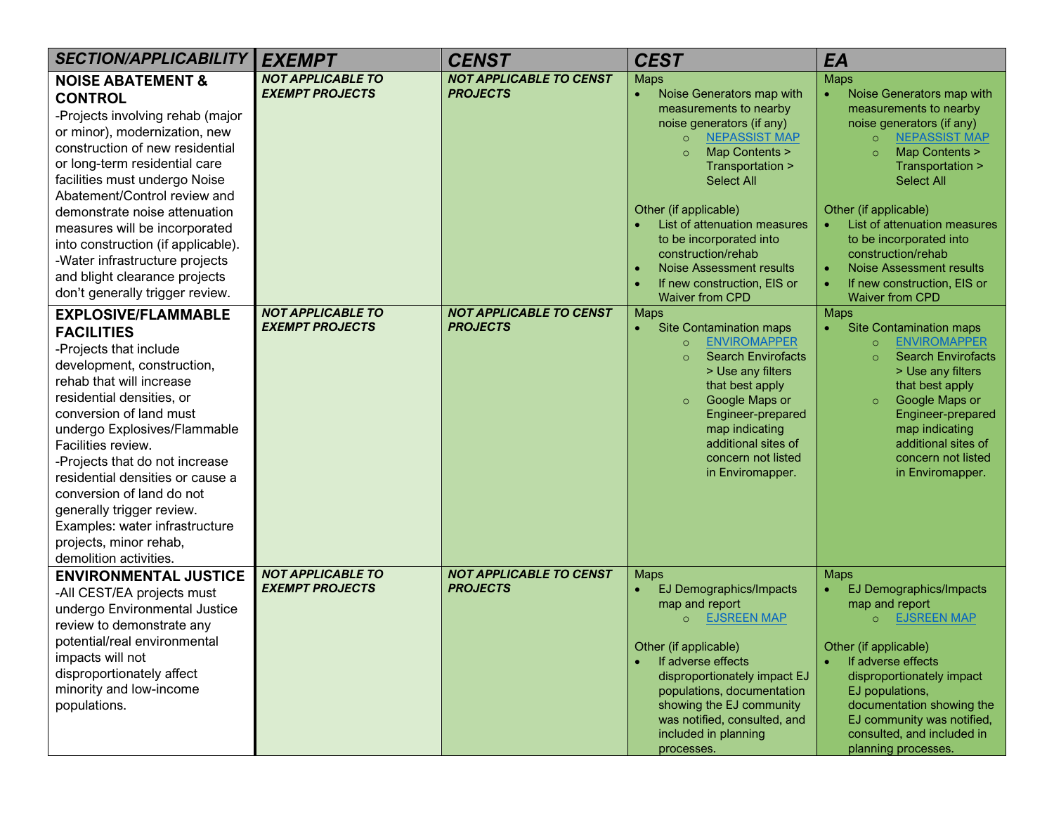| <b>SECTION/APPLICABILITY</b>                                                                                                                                                                                                                                                                                                                                                                                                                                            | <b>EXEMPT</b>                                      | <b>CENST</b>                                      | <b>CEST</b>                                                                                                                                                                                                                                                                                                                                                                                                      | EA                                                                                                                                                                                                                                                                                                                                                                                           |
|-------------------------------------------------------------------------------------------------------------------------------------------------------------------------------------------------------------------------------------------------------------------------------------------------------------------------------------------------------------------------------------------------------------------------------------------------------------------------|----------------------------------------------------|---------------------------------------------------|------------------------------------------------------------------------------------------------------------------------------------------------------------------------------------------------------------------------------------------------------------------------------------------------------------------------------------------------------------------------------------------------------------------|----------------------------------------------------------------------------------------------------------------------------------------------------------------------------------------------------------------------------------------------------------------------------------------------------------------------------------------------------------------------------------------------|
| <b>NOISE ABATEMENT &amp;</b><br><b>CONTROL</b><br>-Projects involving rehab (major<br>or minor), modernization, new<br>construction of new residential<br>or long-term residential care<br>facilities must undergo Noise<br>Abatement/Control review and<br>demonstrate noise attenuation<br>measures will be incorporated<br>into construction (if applicable).<br>-Water infrastructure projects<br>and blight clearance projects<br>don't generally trigger review.  | <b>NOT APPLICABLE TO</b><br><b>EXEMPT PROJECTS</b> | <b>NOT APPLICABLE TO CENST</b><br><b>PROJECTS</b> | <b>Maps</b><br>Noise Generators map with<br>$\bullet$<br>measurements to nearby<br>noise generators (if any)<br><b>NEPASSIST MAP</b><br>$\circ$<br>Map Contents ><br>Transportation ><br><b>Select All</b><br>Other (if applicable)<br>List of attenuation measures<br>to be incorporated into<br>construction/rehab<br><b>Noise Assessment results</b><br>If new construction, EIS or<br><b>Waiver from CPD</b> | <b>Maps</b><br>Noise Generators map with<br>measurements to nearby<br>noise generators (if any)<br><b>NEPASSIST MAP</b><br>$\circ$<br>Map Contents ><br>Transportation ><br><b>Select All</b><br>Other (if applicable)<br>List of attenuation measures<br>to be incorporated into<br>construction/rehab<br>Noise Assessment results<br>If new construction, EIS or<br><b>Waiver from CPD</b> |
| <b>EXPLOSIVE/FLAMMABLE</b><br><b>FACILITIES</b><br>-Projects that include<br>development, construction,<br>rehab that will increase<br>residential densities, or<br>conversion of land must<br>undergo Explosives/Flammable<br>Facilities review.<br>-Projects that do not increase<br>residential densities or cause a<br>conversion of land do not<br>generally trigger review.<br>Examples: water infrastructure<br>projects, minor rehab,<br>demolition activities. | <b>NOT APPLICABLE TO</b><br><b>EXEMPT PROJECTS</b> | <b>NOT APPLICABLE TO CENST</b><br><b>PROJECTS</b> | <b>Maps</b><br><b>Site Contamination maps</b><br>$\bullet$<br><b>ENVIROMAPPER</b><br>$\circ$<br><b>Search Envirofacts</b><br>$\Omega$<br>> Use any filters<br>that best apply<br>Google Maps or<br>$\circ$<br>Engineer-prepared<br>map indicating<br>additional sites of<br>concern not listed<br>in Enviromapper.                                                                                               | <b>Maps</b><br><b>Site Contamination maps</b><br>$\bullet$<br><b>ENVIROMAPPER</b><br>$\circ$<br><b>Search Envirofacts</b><br>$\Omega$<br>> Use any filters<br>that best apply<br>Google Maps or<br>$\circ$<br>Engineer-prepared<br>map indicating<br>additional sites of<br>concern not listed<br>in Enviromapper.                                                                           |
| <b>ENVIRONMENTAL JUSTICE</b><br>-All CEST/EA projects must<br>undergo Environmental Justice<br>review to demonstrate any<br>potential/real environmental<br>impacts will not<br>disproportionately affect<br>minority and low-income<br>populations.                                                                                                                                                                                                                    | <b>NOT APPLICABLE TO</b><br><b>EXEMPT PROJECTS</b> | <b>NOT APPLICABLE TO CENST</b><br><b>PROJECTS</b> | <b>Maps</b><br><b>EJ Demographics/Impacts</b><br>map and report<br><b>EJSREEN MAP</b><br>Other (if applicable)<br>If adverse effects<br>disproportionately impact EJ<br>populations, documentation<br>showing the EJ community<br>was notified, consulted, and<br>included in planning<br>processes.                                                                                                             | <b>Maps</b><br>EJ Demographics/Impacts<br>map and report<br><b>EJSREEN MAP</b><br>Other (if applicable)<br>If adverse effects<br>disproportionately impact<br>EJ populations,<br>documentation showing the<br>EJ community was notified,<br>consulted, and included in<br>planning processes.                                                                                                |